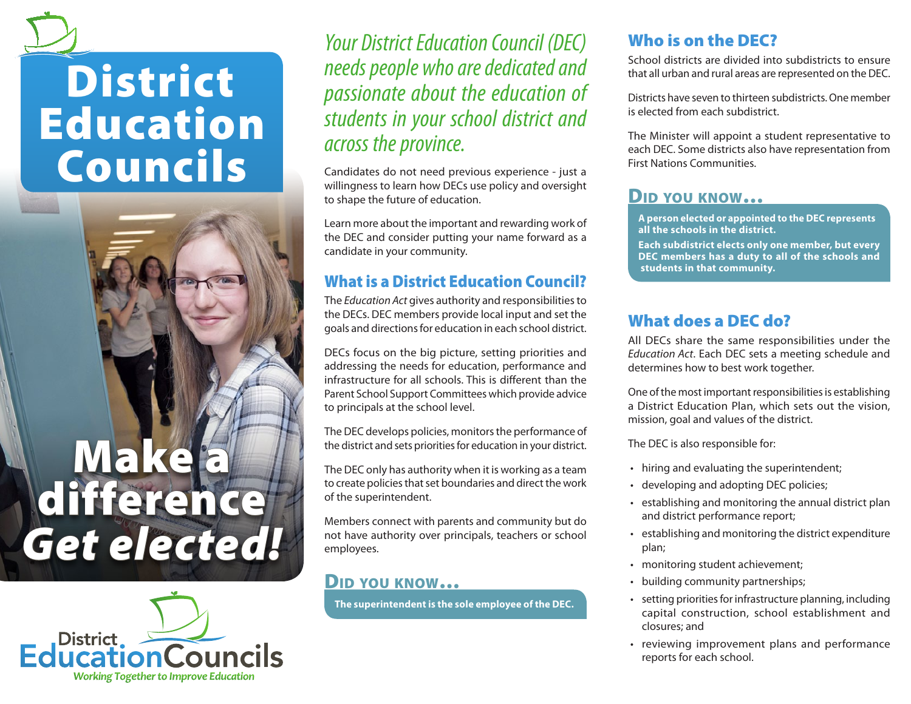# **District** Education Councils

# Make a difference *Get elected!*



*Your District Education Council (DEC) needs people who are dedicated and passionate about the education of students in your school district and across the province.*

Candidates do not need previous experience - just a willingness to learn how DECs use policy and oversight to shape the future of education.

Learn more about the important and rewarding work of the DEC and consider putting your name forward as a candidate in your community.

#### What is a District Education Council?

The *Education Act* gives authority and responsibilities to the DECs. DEC members provide local input and set the goals and directions for education in each school district.

DECs focus on the big picture, setting priorities and addressing the needs for education, performance and infrastructure for all schools. This is different than the Parent School Support Committees which provide advice to principals at the school level.

The DEC develops policies, monitors the performance of the district and sets priorities for education in your district.

The DEC only has authority when it is working as a team to create policies that set boundaries and direct the work of the superintendent.

Members connect with parents and community but do not have authority over principals, teachers or school employees.

#### Did you know…

**The superintendent is the sole employee of the DEC.**

# Who is on the DEC?

School districts are divided into subdistricts to ensure that all urban and rural areas are represented on the DEC.

Districts have seven to thirteen subdistricts. One member is elected from each subdistrict.

The Minister will appoint a student representative to each DEC. Some districts also have representation from First Nations Communities.

# Did you know…

**A person elected or appointed to the DEC represents all the schools in the district.**

**Each subdistrict elects only one member, but every DEC members has a duty to all of the schools and students in that community.**

## What does a DEC do?

All DECs share the same responsibilities under the *Education Act*. Each DEC sets a meeting schedule and determines how to best work together.

One of the most important responsibilities is establishing a District Education Plan, which sets out the vision, mission, goal and values of the district.

The DEC is also responsible for:

- hiring and evaluating the superintendent;
- developing and adopting DEC policies;
- • establishing and monitoring the annual district plan and district performance report;
- • establishing and monitoring the district expenditure plan;
- monitoring student achievement;
- building community partnerships;
- setting priorities for infrastructure planning, including capital construction, school establishment and closures; and
- • reviewing improvement plans and performance reports for each school.